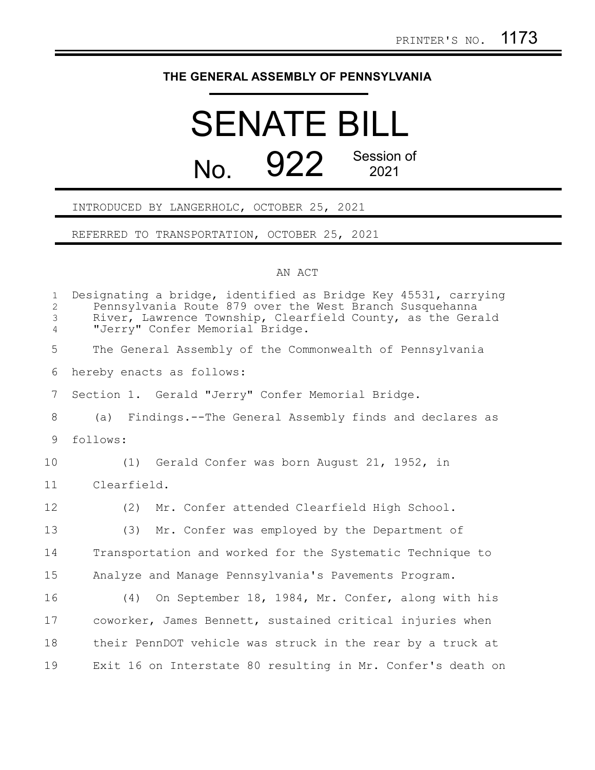## **THE GENERAL ASSEMBLY OF PENNSYLVANIA**

## SENATE BILL No. 922 Session of

INTRODUCED BY LANGERHOLC, OCTOBER 25, 2021

REFERRED TO TRANSPORTATION, OCTOBER 25, 2021

## AN ACT

| $\mathbf{1}$<br>$\overline{c}$<br>$\mathfrak{Z}$<br>$\overline{4}$ | Designating a bridge, identified as Bridge Key 45531, carrying<br>Pennsylvania Route 879 over the West Branch Susquehanna<br>River, Lawrence Township, Clearfield County, as the Gerald<br>"Jerry" Confer Memorial Bridge. |
|--------------------------------------------------------------------|----------------------------------------------------------------------------------------------------------------------------------------------------------------------------------------------------------------------------|
| 5                                                                  | The General Assembly of the Commonwealth of Pennsylvania                                                                                                                                                                   |
| 6                                                                  | hereby enacts as follows:                                                                                                                                                                                                  |
| $7\phantom{.}$                                                     | Section 1. Gerald "Jerry" Confer Memorial Bridge.                                                                                                                                                                          |
| 8                                                                  | (a) Findings.--The General Assembly finds and declares as                                                                                                                                                                  |
| 9                                                                  | follows:                                                                                                                                                                                                                   |
| 10                                                                 | (1) Gerald Confer was born August 21, 1952, in                                                                                                                                                                             |
| 11                                                                 | Clearfield.                                                                                                                                                                                                                |
| 12                                                                 | (2)<br>Mr. Confer attended Clearfield High School.                                                                                                                                                                         |
| 13                                                                 | (3) Mr. Confer was employed by the Department of                                                                                                                                                                           |
| 14                                                                 | Transportation and worked for the Systematic Technique to                                                                                                                                                                  |
| 15                                                                 | Analyze and Manage Pennsylvania's Pavements Program.                                                                                                                                                                       |
| 16                                                                 | (4) On September 18, 1984, Mr. Confer, along with his                                                                                                                                                                      |
| 17                                                                 | coworker, James Bennett, sustained critical injuries when                                                                                                                                                                  |
| 18                                                                 | their PennDOT vehicle was struck in the rear by a truck at                                                                                                                                                                 |
| 19                                                                 | Exit 16 on Interstate 80 resulting in Mr. Confer's death on                                                                                                                                                                |